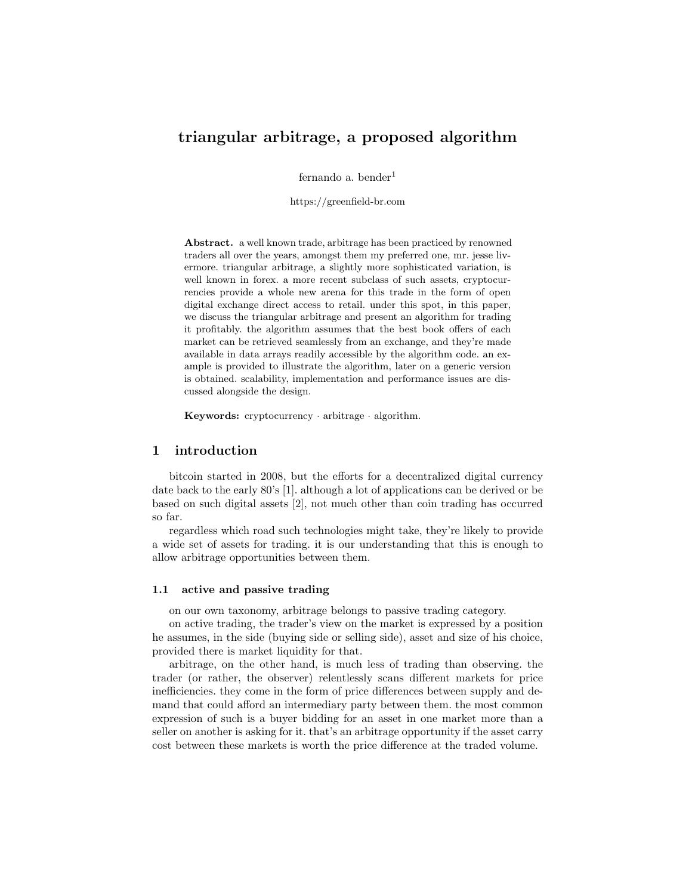# triangular arbitrage, a proposed algorithm

fernando a. bender $<sup>1</sup>$ </sup>

https://greenfield-br.com

Abstract. a well known trade, arbitrage has been practiced by renowned traders all over the years, amongst them my preferred one, mr. jesse livermore. triangular arbitrage, a slightly more sophisticated variation, is well known in forex. a more recent subclass of such assets, cryptocurrencies provide a whole new arena for this trade in the form of open digital exchange direct access to retail. under this spot, in this paper, we discuss the triangular arbitrage and present an algorithm for trading it profitably. the algorithm assumes that the best book offers of each market can be retrieved seamlessly from an exchange, and they're made available in data arrays readily accessible by the algorithm code. an example is provided to illustrate the algorithm, later on a generic version is obtained. scalability, implementation and performance issues are discussed alongside the design.

Keywords: cryptocurrency · arbitrage · algorithm.

# 1 introduction

bitcoin started in 2008, but the efforts for a decentralized digital currency date back to the early 80's [1]. although a lot of applications can be derived or be based on such digital assets [2], not much other than coin trading has occurred so far.

regardless which road such technologies might take, they're likely to provide a wide set of assets for trading. it is our understanding that this is enough to allow arbitrage opportunities between them.

### 1.1 active and passive trading

on our own taxonomy, arbitrage belongs to passive trading category.

on active trading, the trader's view on the market is expressed by a position he assumes, in the side (buying side or selling side), asset and size of his choice, provided there is market liquidity for that.

arbitrage, on the other hand, is much less of trading than observing. the trader (or rather, the observer) relentlessly scans different markets for price inefficiencies. they come in the form of price differences between supply and demand that could afford an intermediary party between them. the most common expression of such is a buyer bidding for an asset in one market more than a seller on another is asking for it. that's an arbitrage opportunity if the asset carry cost between these markets is worth the price difference at the traded volume.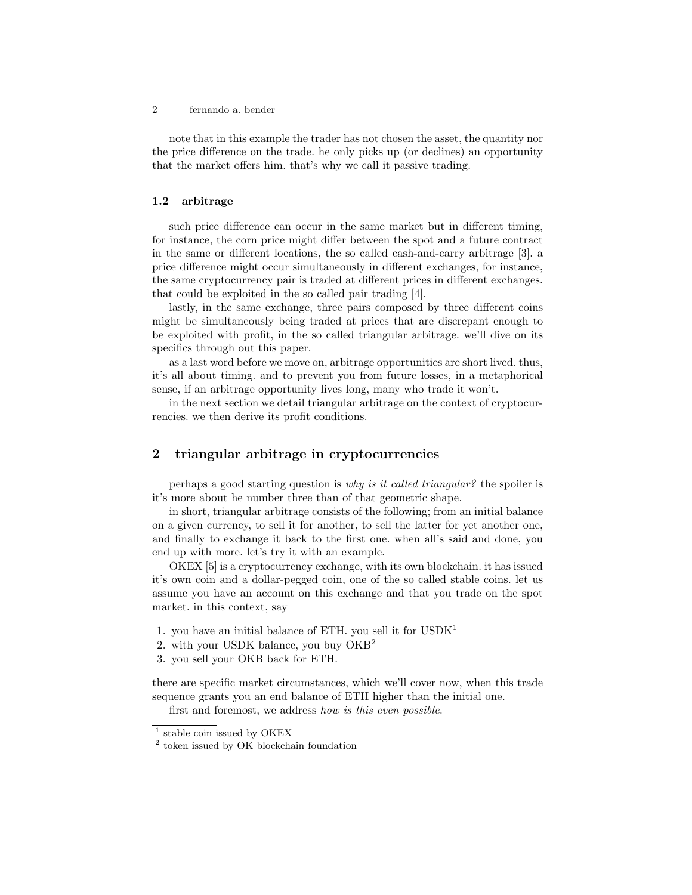note that in this example the trader has not chosen the asset, the quantity nor the price difference on the trade. he only picks up (or declines) an opportunity that the market offers him. that's why we call it passive trading.

#### 1.2 arbitrage

such price difference can occur in the same market but in different timing, for instance, the corn price might differ between the spot and a future contract in the same or different locations, the so called cash-and-carry arbitrage [3]. a price difference might occur simultaneously in different exchanges, for instance, the same cryptocurrency pair is traded at different prices in different exchanges. that could be exploited in the so called pair trading [4].

lastly, in the same exchange, three pairs composed by three different coins might be simultaneously being traded at prices that are discrepant enough to be exploited with profit, in the so called triangular arbitrage. we'll dive on its specifics through out this paper.

as a last word before we move on, arbitrage opportunities are short lived. thus, it's all about timing. and to prevent you from future losses, in a metaphorical sense, if an arbitrage opportunity lives long, many who trade it won't.

in the next section we detail triangular arbitrage on the context of cryptocurrencies. we then derive its profit conditions.

# 2 triangular arbitrage in cryptocurrencies

perhaps a good starting question is why is it called triangular? the spoiler is it's more about he number three than of that geometric shape.

in short, triangular arbitrage consists of the following; from an initial balance on a given currency, to sell it for another, to sell the latter for yet another one, and finally to exchange it back to the first one. when all's said and done, you end up with more. let's try it with an example.

OKEX [5] is a cryptocurrency exchange, with its own blockchain. it has issued it's own coin and a dollar-pegged coin, one of the so called stable coins. let us assume you have an account on this exchange and that you trade on the spot market. in this context, say

- 1. you have an initial balance of ETH. you sell it for  $\text{USDK}^1$
- 2. with your USDK balance, you buy  $OKB<sup>2</sup>$
- 3. you sell your OKB back for ETH.

there are specific market circumstances, which we'll cover now, when this trade sequence grants you an end balance of ETH higher than the initial one.

first and foremost, we address how is this even possible.

<sup>&</sup>lt;sup>1</sup> stable coin issued by OKEX

<sup>2</sup> token issued by OK blockchain foundation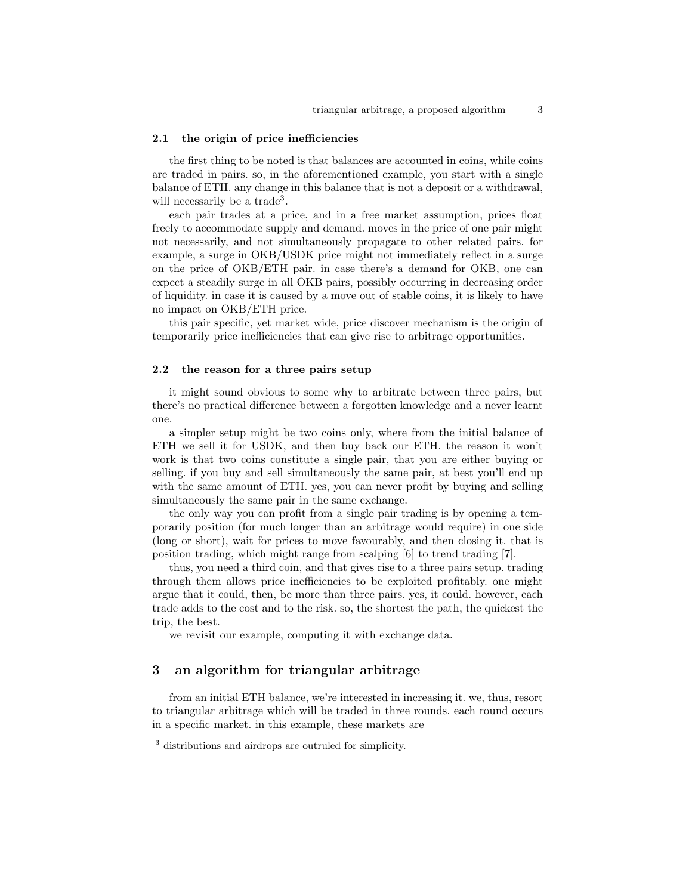#### 2.1 the origin of price inefficiencies

the first thing to be noted is that balances are accounted in coins, while coins are traded in pairs. so, in the aforementioned example, you start with a single balance of ETH. any change in this balance that is not a deposit or a withdrawal, will necessarily be a trade<sup>3</sup>.

each pair trades at a price, and in a free market assumption, prices float freely to accommodate supply and demand. moves in the price of one pair might not necessarily, and not simultaneously propagate to other related pairs. for example, a surge in OKB/USDK price might not immediately reflect in a surge on the price of OKB/ETH pair. in case there's a demand for OKB, one can expect a steadily surge in all OKB pairs, possibly occurring in decreasing order of liquidity. in case it is caused by a move out of stable coins, it is likely to have no impact on OKB/ETH price.

this pair specific, yet market wide, price discover mechanism is the origin of temporarily price inefficiencies that can give rise to arbitrage opportunities.

### 2.2 the reason for a three pairs setup

it might sound obvious to some why to arbitrate between three pairs, but there's no practical difference between a forgotten knowledge and a never learnt one.

a simpler setup might be two coins only, where from the initial balance of ETH we sell it for USDK, and then buy back our ETH. the reason it won't work is that two coins constitute a single pair, that you are either buying or selling. if you buy and sell simultaneously the same pair, at best you'll end up with the same amount of ETH. yes, you can never profit by buying and selling simultaneously the same pair in the same exchange.

the only way you can profit from a single pair trading is by opening a temporarily position (for much longer than an arbitrage would require) in one side (long or short), wait for prices to move favourably, and then closing it. that is position trading, which might range from scalping [6] to trend trading [7].

thus, you need a third coin, and that gives rise to a three pairs setup. trading through them allows price inefficiencies to be exploited profitably. one might argue that it could, then, be more than three pairs. yes, it could. however, each trade adds to the cost and to the risk. so, the shortest the path, the quickest the trip, the best.

we revisit our example, computing it with exchange data.

## 3 an algorithm for triangular arbitrage

from an initial ETH balance, we're interested in increasing it. we, thus, resort to triangular arbitrage which will be traded in three rounds. each round occurs in a specific market. in this example, these markets are

<sup>3</sup> distributions and airdrops are outruled for simplicity.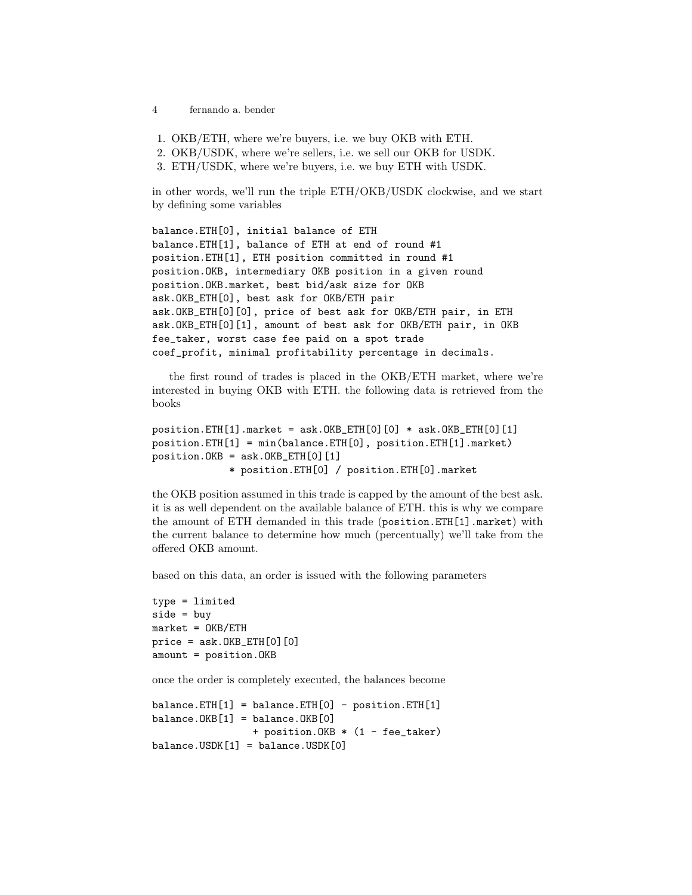- 4 fernando a. bender
- 1. OKB/ETH, where we're buyers, i.e. we buy OKB with ETH.
- 2. OKB/USDK, where we're sellers, i.e. we sell our OKB for USDK.
- 3. ETH/USDK, where we're buyers, i.e. we buy ETH with USDK.

in other words, we'll run the triple ETH/OKB/USDK clockwise, and we start by defining some variables

```
balance.ETH[0], initial balance of ETH
balance.ETH[1], balance of ETH at end of round #1
position.ETH[1], ETH position committed in round #1
position.OKB, intermediary OKB position in a given round
position.OKB.market, best bid/ask size for OKB
ask.OKB_ETH[0], best ask for OKB/ETH pair
ask.OKB_ETH[0][0], price of best ask for OKB/ETH pair, in ETH
ask.OKB_ETH[0][1], amount of best ask for OKB/ETH pair, in OKB
fee_taker, worst case fee paid on a spot trade
coef_profit, minimal profitability percentage in decimals.
```
the first round of trades is placed in the OKB/ETH market, where we're interested in buying OKB with ETH. the following data is retrieved from the books

```
position.ETH[1] .market = ask. OKB_ETH[0][0] * ask. OKB_ETH[0][1]position.ETH[1] = min(balance.ETH[0], position.ETH[1].market)
position.OKB = ask.OKB\_ETH[0][1]* position.ETH[0] / position.ETH[0].market
```
the OKB position assumed in this trade is capped by the amount of the best ask. it is as well dependent on the available balance of ETH. this is why we compare the amount of ETH demanded in this trade (position.ETH[1].market) with the current balance to determine how much (percentually) we'll take from the offered OKB amount.

based on this data, an order is issued with the following parameters

```
type = limited
side = buy
market = OKB/ETHprice = ask.OKB_ETH[0][0]amount = position.OKB
```
once the order is completely executed, the balances become

```
balance.ETH[1] = balance.ETH[0] - position.ETH[1]balance.OKB[1] = balance.OKB[0]+ position.OKB * (1 - fee_taker)
balance.USDK[1] = balance.USDK[0]
```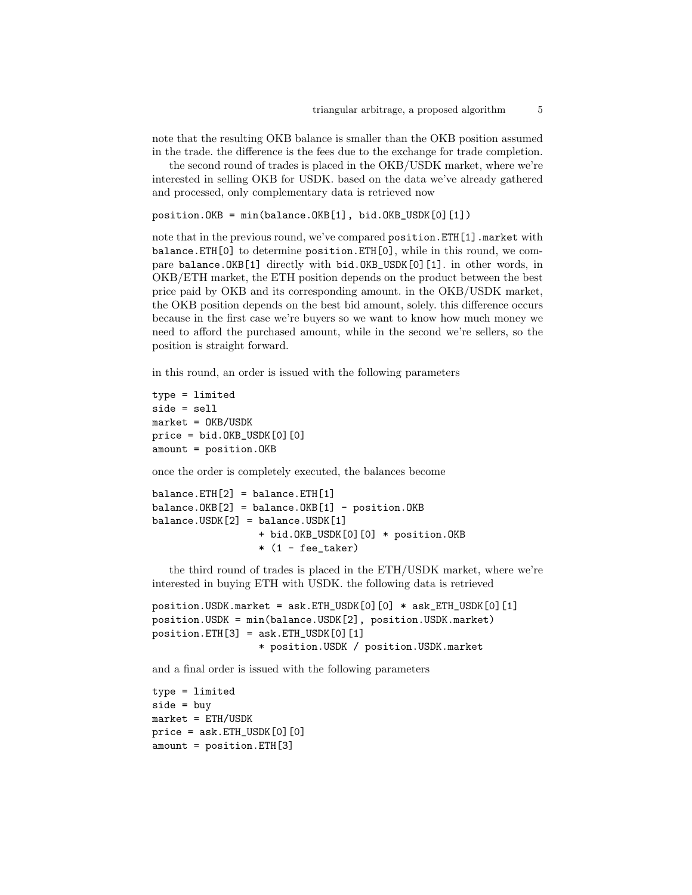note that the resulting OKB balance is smaller than the OKB position assumed in the trade. the difference is the fees due to the exchange for trade completion.

the second round of trades is placed in the OKB/USDK market, where we're interested in selling OKB for USDK. based on the data we've already gathered and processed, only complementary data is retrieved now

```
position.OKB = min(balance.OKB[1], bid.OKB_USDK[0][1])
```
note that in the previous round, we've compared position.ETH[1].market with balance.ETH[0] to determine position.ETH[0], while in this round, we compare balance.OKB[1] directly with bid.OKB\_USDK[0][1]. in other words, in OKB/ETH market, the ETH position depends on the product between the best price paid by OKB and its corresponding amount. in the OKB/USDK market, the OKB position depends on the best bid amount, solely. this difference occurs because in the first case we're buyers so we want to know how much money we need to afford the purchased amount, while in the second we're sellers, so the position is straight forward.

in this round, an order is issued with the following parameters

```
type = limited
side = sell
market = OKB/USDK
price = bid.OKB_VSDK[0][0]amount = position.OKB
```
once the order is completely executed, the balances become

```
balance.FTH[2] = balance.FTH[1]balance.OKB[2] = balance.OKB[1] - position.OKBbalance.USDK[2] = balance.USDK[1]+ bid.OKB_USDK[0][0] * position.OKB
                 *(1 - fee\_taken)
```
the third round of trades is placed in the ETH/USDK market, where we're interested in buying ETH with USDK. the following data is retrieved

```
position.USDK.market = ask.ETH_USDK[0][0] * ask_ETH_USDK[0][1]
position.USDK = min(balance.USDK[2], position.USDK.market)
position.FTH[3] = ask.FTH_USDK[0][1]* position.USDK / position.USDK.market
```
and a final order is issued with the following parameters

type = limited side = buy  $market = ETH/USDK$  $price = ask.ETH_USDK[0][0]$ amount = position.ETH[3]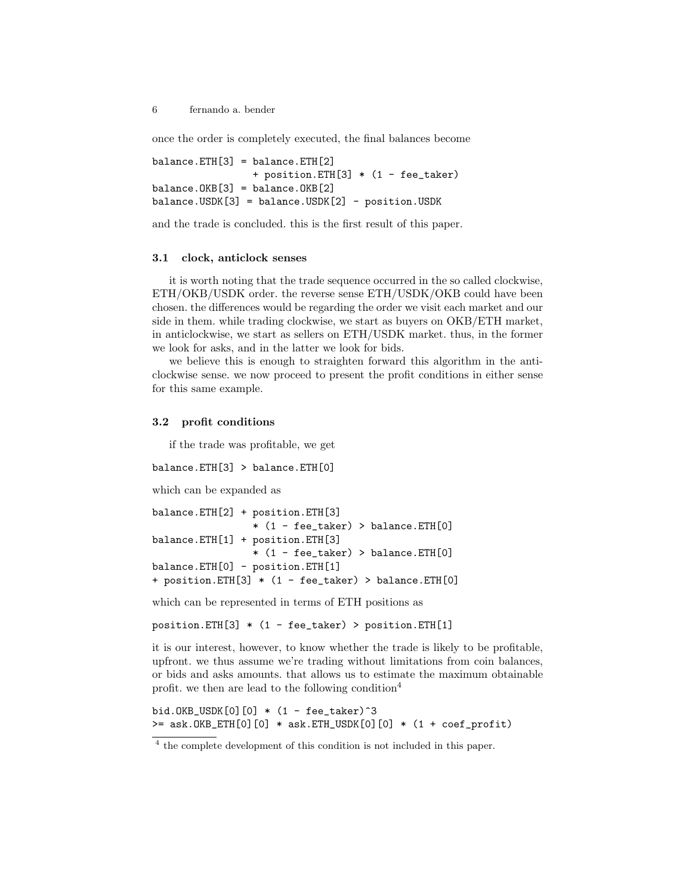once the order is completely executed, the final balances become

```
balance.ETH[3] = balance.ETH[2]+ position.ETH[3] * (1 - fee_taker)
balance.OKB[3] = balance.OKB[2]balance.USDK[3] = balance.USDK[2] - position.USDK
```
and the trade is concluded. this is the first result of this paper.

#### 3.1 clock, anticlock senses

it is worth noting that the trade sequence occurred in the so called clockwise, ETH/OKB/USDK order. the reverse sense ETH/USDK/OKB could have been chosen. the differences would be regarding the order we visit each market and our side in them. while trading clockwise, we start as buyers on OKB/ETH market, in anticlockwise, we start as sellers on ETH/USDK market. thus, in the former we look for asks, and in the latter we look for bids.

we believe this is enough to straighten forward this algorithm in the anticlockwise sense. we now proceed to present the profit conditions in either sense for this same example.

### 3.2 profit conditions

if the trade was profitable, we get

```
balance.ETH[3] > balance.ETH[0]
```
which can be expanded as

```
balance.ETH[2] + position.ETH[3]
                 * (1 - fee_taker) > balance.ETH[0]
balance.ETH[1] + position.ETH[3]
                 * (1 - fee_taker) > balance.ETH[0]
balance.ETH[0] - position.ETH[1]
+ position.ETH[3] * (1 - fee_taker) > balance.ETH[0]
```
which can be represented in terms of ETH positions as

position.ETH[3] \* (1 - fee\_taker) > position.ETH[1]

it is our interest, however, to know whether the trade is likely to be profitable, upfront. we thus assume we're trading without limitations from coin balances, or bids and asks amounts. that allows us to estimate the maximum obtainable profit. we then are lead to the following condition<sup>4</sup>

bid.OKB\_USDK $[0][0] * (1 - fee\_taken)^3$  $>=$  ask.OKB\_ETH[0][0]  $*$  ask.ETH\_USDK[0][0]  $*$  (1 + coef\_profit)

<sup>&</sup>lt;sup>4</sup> the complete development of this condition is not included in this paper.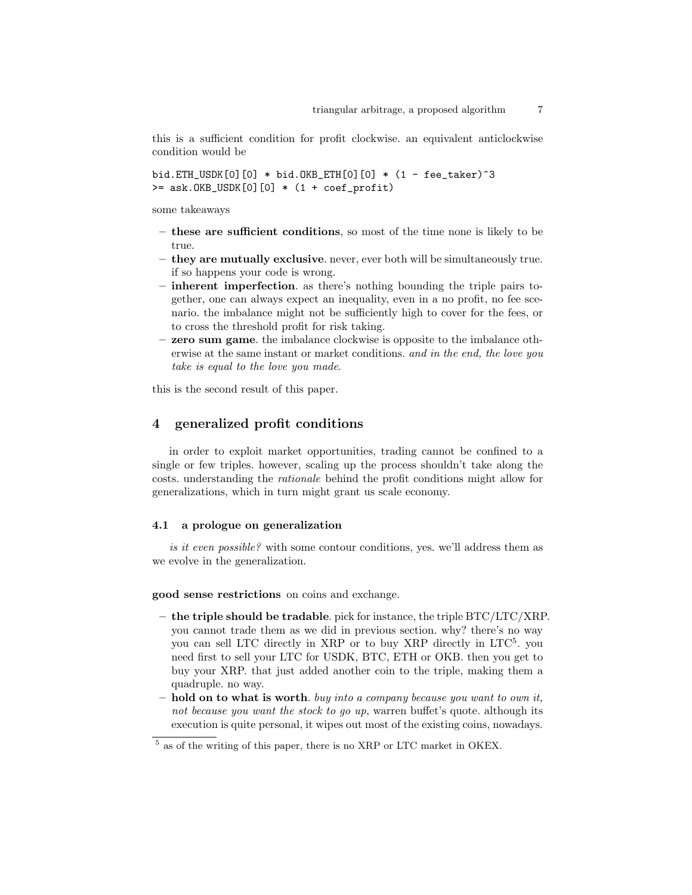this is a sufficient condition for profit clockwise. an equivalent anticlockwise condition would be

bid.ETH\_USDK[0][0] \* bid.OKB\_ETH[0][0] \* (1 - fee\_taker)^3  $>=$  ask.OKB\_USDK[0][0]  $*$  (1 + coef\_profit)

some takeaways

- these are sufficient conditions, so most of the time none is likely to be true.
- they are mutually exclusive. never, ever both will be simultaneously true. if so happens your code is wrong.
- inherent imperfection. as there's nothing bounding the triple pairs together, one can always expect an inequality, even in a no profit, no fee scenario. the imbalance might not be sufficiently high to cover for the fees, or to cross the threshold profit for risk taking.
- zero sum game. the imbalance clockwise is opposite to the imbalance otherwise at the same instant or market conditions. and in the end, the love you take is equal to the love you made.

this is the second result of this paper.

## 4 generalized profit conditions

in order to exploit market opportunities, trading cannot be confined to a single or few triples. however, scaling up the process shouldn't take along the costs. understanding the rationale behind the profit conditions might allow for generalizations, which in turn might grant us scale economy.

### 4.1 a prologue on generalization

is it even possible? with some contour conditions, yes. we'll address them as we evolve in the generalization.

good sense restrictions on coins and exchange.

- the triple should be tradable. pick for instance, the triple  $\text{BTC/LTC/XRP}$ . you cannot trade them as we did in previous section. why? there's no way you can sell LTC directly in XRP or to buy XRP directly in LTC<sup>5</sup>. you need first to sell your LTC for USDK, BTC, ETH or OKB. then you get to buy your XRP. that just added another coin to the triple, making them a quadruple. no way.
- $-$  hold on to what is worth, buy into a company because you want to own it, not because you want the stock to go up, warren buffet's quote. although its execution is quite personal, it wipes out most of the existing coins, nowadays.

<sup>5</sup> as of the writing of this paper, there is no XRP or LTC market in OKEX.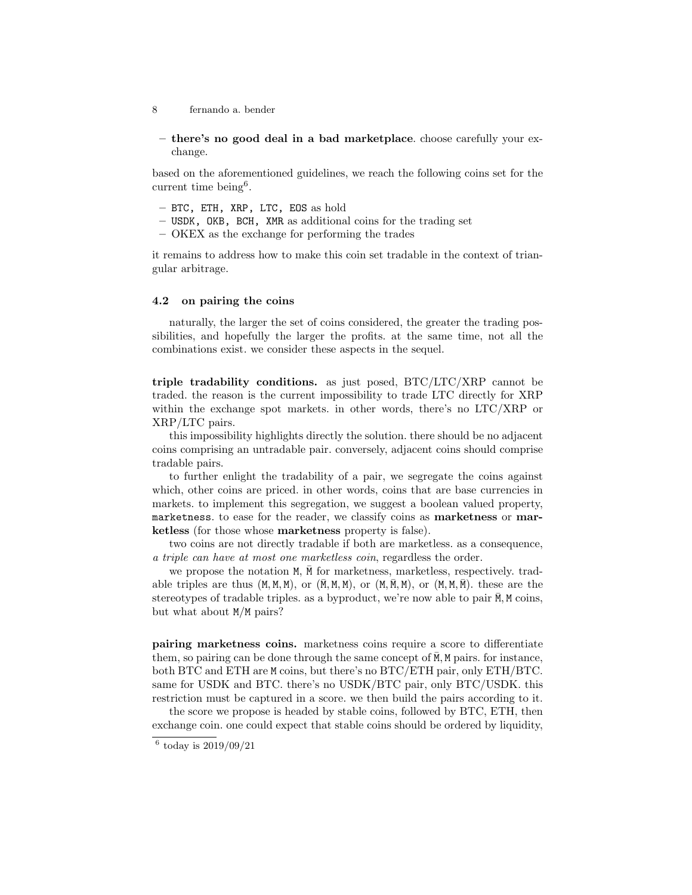- 8 fernando a. bender
- there's no good deal in a bad marketplace. choose carefully your exchange.

based on the aforementioned guidelines, we reach the following coins set for the current time being<sup>6</sup>.

- BTC, ETH, XRP, LTC, EOS as hold
- USDK, OKB, BCH, XMR as additional coins for the trading set
- OKEX as the exchange for performing the trades

it remains to address how to make this coin set tradable in the context of triangular arbitrage.

### 4.2 on pairing the coins

naturally, the larger the set of coins considered, the greater the trading possibilities, and hopefully the larger the profits. at the same time, not all the combinations exist. we consider these aspects in the sequel.

triple tradability conditions. as just posed, BTC/LTC/XRP cannot be traded. the reason is the current impossibility to trade LTC directly for XRP within the exchange spot markets. in other words, there's no LTC/XRP or XRP/LTC pairs.

this impossibility highlights directly the solution. there should be no adjacent coins comprising an untradable pair. conversely, adjacent coins should comprise tradable pairs.

to further enlight the tradability of a pair, we segregate the coins against which, other coins are priced. in other words, coins that are base currencies in markets. to implement this segregation, we suggest a boolean valued property, marketness. to ease for the reader, we classify coins as marketness or marketless (for those whose marketness property is false).

two coins are not directly tradable if both are marketless. as a consequence, a triple can have at most one marketless coin, regardless the order.

we propose the notation  $M$ ,  $\overline{M}$  for marketness, marketless, respectively. tradable triples are thus  $(M, M, M)$ , or  $(\overline{M}, M, M)$ , or  $(M, \overline{M}, M)$ , or  $(M, M, \overline{M})$ . these are the stereotypes of tradable triples. as a byproduct, we're now able to pair  $\overline{M}$ , M coins, but what about M/M pairs?

pairing marketness coins. marketness coins require a score to differentiate them, so pairing can be done through the same concept of  $\overline{M}$ , M pairs. for instance, both BTC and ETH are M coins, but there's no BTC/ETH pair, only ETH/BTC. same for USDK and BTC. there's no USDK/BTC pair, only BTC/USDK. this restriction must be captured in a score. we then build the pairs according to it.

the score we propose is headed by stable coins, followed by BTC, ETH, then exchange coin. one could expect that stable coins should be ordered by liquidity,

 $6$  today is  $2019/09/21$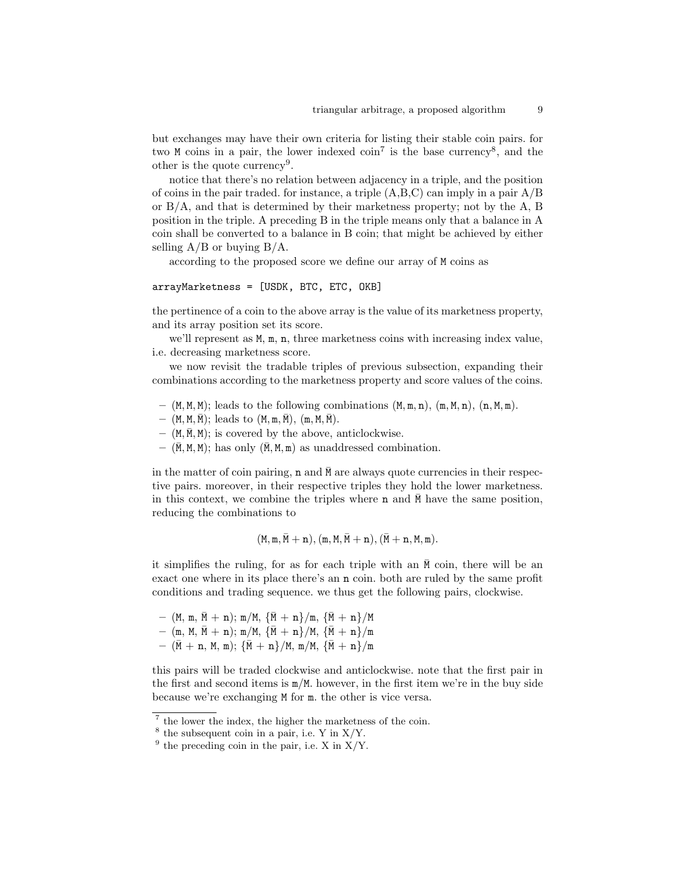but exchanges may have their own criteria for listing their stable coin pairs. for two M coins in a pair, the lower indexed  $\text{coin}^7$  is the base currency<sup>8</sup>, and the other is the quote currency<sup>9</sup>.

notice that there's no relation between adjacency in a triple, and the position of coins in the pair traded. for instance, a triple  $(A,B,C)$  can imply in a pair  $A/B$ or  $B/A$ , and that is determined by their marketness property; not by the  $A, B$ position in the triple. A preceding B in the triple means only that a balance in A coin shall be converted to a balance in B coin; that might be achieved by either selling  $A/B$  or buying  $B/A$ .

according to the proposed score we define our array of M coins as

### arrayMarketness = [USDK, BTC, ETC, OKB]

the pertinence of a coin to the above array is the value of its marketness property, and its array position set its score.

we'll represent as  $M$ ,  $m$ ,  $n$ , three marketness coins with increasing index value, i.e. decreasing marketness score.

we now revisit the tradable triples of previous subsection, expanding their combinations according to the marketness property and score values of the coins.

- $(M, M, M)$ ; leads to the following combinations  $(M, m, n)$ ,  $(m, M, n)$ ,  $(n, M, m)$ .
- $(M, M, \overline{M})$ ; leads to  $(M, m, \overline{M})$ ,  $(m, M, \overline{M})$ .
- $(M, \overline{M}, M);$  is covered by the above, anticlockwise.
- $(\overline{M}, M, M)$ ; has only  $(\overline{M}, M, m)$  as unaddressed combination.

in the matter of coin pairing,  $n$  and  $\overline{M}$  are always quote currencies in their respective pairs. moreover, in their respective triples they hold the lower marketness. in this context, we combine the triples where **n** and  $\bar{M}$  have the same position, reducing the combinations to

$$
(M, m, M + n), (m, M, M + n), (M + n, M, m).
$$

it simplifies the ruling, for as for each triple with an  $\overline{M}$  coin, there will be an exact one where in its place there's an n coin. both are ruled by the same profit conditions and trading sequence. we thus get the following pairs, clockwise.

 $-$  (M, m,  $\overline{M}$  + n); m/M,  $\{\overline{M}$  + n $\}$ /m,  $\{\overline{M}$  + n $\}$ /M

- (m, M,  $\bar{M} + n$ ); m/M,  $\{\bar{M} + n\}$ /M,  $\{\bar{M} + n\}$ /m
- $(\bar{M} + n, M, m);$   $\{\bar{M} + n\}/M, m/M,$   $\{\bar{M} + n\}/m$

this pairs will be traded clockwise and anticlockwise. note that the first pair in the first and second items is m/M. however, in the first item we're in the buy side because we're exchanging M for m. the other is vice versa.

<sup>&</sup>lt;sup>7</sup> the lower the index, the higher the marketness of the coin.

 $8$  the subsequent coin in a pair, i.e. Y in X/Y.

 $9$  the preceding coin in the pair, i.e. X in  $X/Y$ .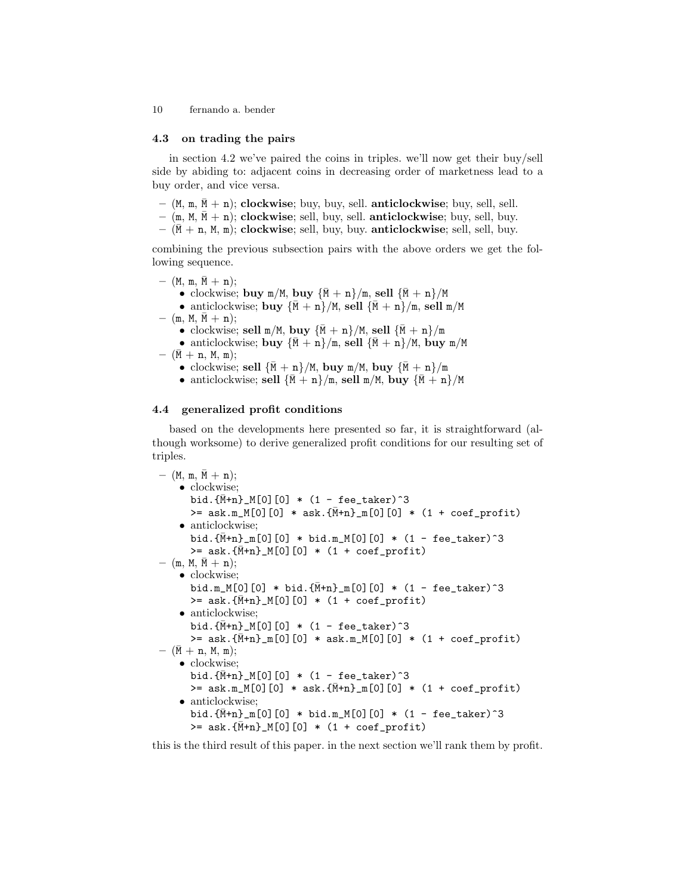#### 4.3 on trading the pairs

in section 4.2 we've paired the coins in triples. we'll now get their buy/sell side by abiding to: adjacent coins in decreasing order of marketness lead to a buy order, and vice versa.

- $(M, m, \overline{M} + n)$ ; clockwise; buy, buy, sell. anticlockwise; buy, sell, sell.
- $(m, M, \overline{M} + n)$ ; clockwise; sell, buy, sell. anticlockwise; buy, sell, buy.
- $(\overline{M} + n, M, m)$ ; clockwise; sell, buy, buy. anticlockwise; sell, sell, buy.

combining the previous subsection pairs with the above orders we get the following sequence.

- $-$  (M, m,  $\bar{M} + n$ ); • clockwise; buy m/M, buy  $\{\bar{M} + n\}/m$ , sell  $\{\bar{M} + n\}/M$ • anticlockwise; buy  $\{\bar{M} + n\}/M$ , sell  $\{\bar{M} + n\}/m$ , sell  $m/M$  $-$  (m, M, M  $+$  n); • clockwise; sell m/M, buy  ${\bar{M}+n}$ /M, sell  ${\bar{M}+n}$ /m • anticlockwise; buy  ${\bar{M} + n}$ , sell  ${\bar{M} + n}$ /M, buy m/M  $-$  (M + n, M, m); • clockwise; sell  ${\bar{M} + n}$ /M, buy m/M, buy  ${\bar{M} + n}$ /m
	- anticlockwise; sell  ${\bar{M} + n}$ /m, sell m/M, buy  ${\bar{M} + n}$ /M

### 4.4 generalized profit conditions

based on the developments here presented so far, it is straightforward (although worksome) to derive generalized profit conditions for our resulting set of triples.

```
- (M, m, \bar{M} + n);
    • clockwise;
      bid.{M+n}_{\text{+}}M[0][0] * (1 - fee_taker)<sup>-3</sup>
      >= ask.m_M[0][0] * ask.{\bar{M}+n}_m[0][0] * (1 + coef_profit)
    • anticlockwise;
      bid.{\bar{M}+n}_{m}[0][0] * bid.m_M[0][0] * (1 - fee\_taken)^3>= ask. {\bar{M}}+n] M[0][0] * (1 + coef_profit)
- (m, M, M + n);
    • clockwise;
      bid.m_M[0][0] * bid.{\bar{M}}+n] [0][0] * (1 - fee_taker)^3
      >= ask. {M+n}_{M[0][0]} * (1 + coef_profit)
    • anticlockwise;
      bid.{\bar{M}+n}_{M[0][0] \approx (1 - fee_{\text{i}} - 3>= ask.{\bar{M}+n}_m[0][0] * ask.m_M[0][0] * (1 + coef_profit)
- (\bar{M} + n, M, m);• clockwise:
      bid.{\bar{M}+n}_{M[0][0] * (1 - fee_taker)^3
      >= ask.m_M[0][0] * ask.{M+n}_m[0][0] * (1 + coef_profit)
    • anticlockwise;
      bid.{\bar{M}+n}_{m}[0][0] * bid.m_M[0][0] * (1 - fee\_taken)^3>= ask. {M+n}_{\text{m}}[0][0] * (1 + coef_profit)
```
this is the third result of this paper. in the next section we'll rank them by profit.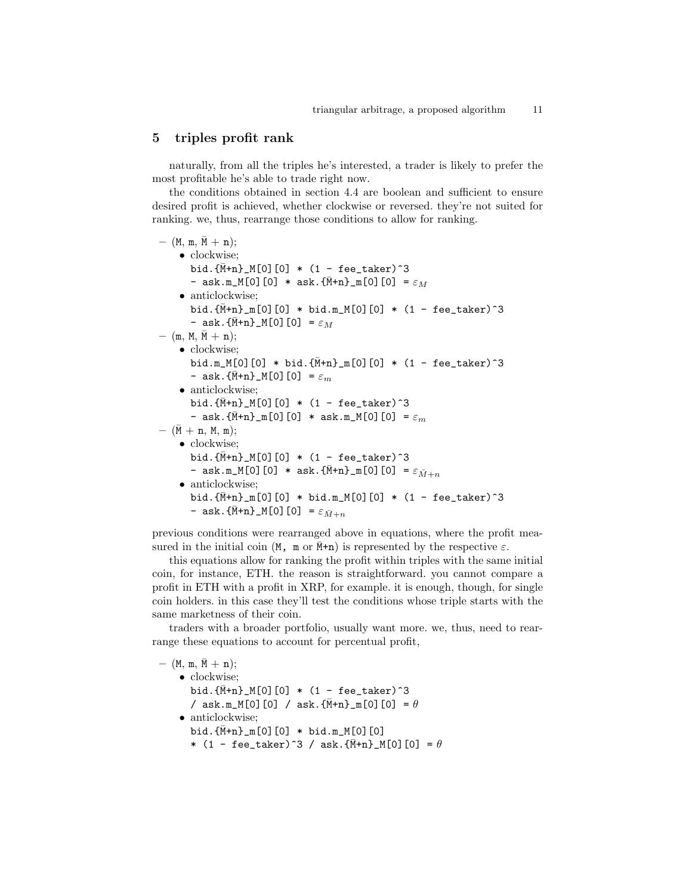## 5 triples profit rank

naturally, from all the triples he's interested, a trader is likely to prefer the most profitable he's able to trade right now.

the conditions obtained in section 4.4 are boolean and sufficient to ensure desired profit is achieved, whether clockwise or reversed. they're not suited for ranking. we, thus, rearrange those conditions to allow for ranking.

```
- (M, m, \bar{M} + n);
    • clockwise;
       bid.{\bar{M}}+n] M[0][0] * (1 - fee_taker)<sup>2</sup>3
       - ask.m_M[0][0] * ask.{M+n}_m[0][0] = \varepsilon_M• anticlockwise:
       bid.{\bar{M}+n}_{m}[0][0] * bid.m.M[0][0] * (1 - fee\_taken)^3- ask.{\bar{M}+n}_M[0][0] = \varepsilon_M- (m, M, \bar{M} + n);
    • clockwise;
       bid.m_M[0][0] * bid.{\bar{M}}+n] [0][0] * (1 - fee_taker)^3
       - ask.\{\bar{M}+n\}_M[0][0] = \varepsilon_m• anticlockwise;
       bid.{\bar{M}+n}_{M[0][0] \approx (1 - fee_{\text{i}} - 3- ask.\{\bar{M}+n\}_{m}[0][0] * ask.m_M[0][0] = \varepsilon_m- (\bar{M} + n, M, m);• clockwise:
       bid.{M+n}_{\text{+}}[0][0] * (1 - fee_taker)<sup>-3</sup>
       - ask.m_M[0][0] * ask.{M+n}_m[0][0] = \varepsilon_{\bar{M}+n}• anticlockwise;
       bid.{\bar{M}+n}_{m}[0][0] * bid.m_M[0][0] * (1 - fee\_taken)^3- ask.\{\bar{M}+n\}_M[0][0] = \varepsilon_{\bar{M}+n}
```
previous conditions were rearranged above in equations, where the profit measured in the initial coin (M, m or  $\bar{M}$ +n) is represented by the respective  $\varepsilon$ .

this equations allow for ranking the profit within triples with the same initial coin, for instance, ETH. the reason is straightforward. you cannot compare a profit in ETH with a profit in XRP, for example. it is enough, though, for single coin holders. in this case they'll test the conditions whose triple starts with the same marketness of their coin.

traders with a broader portfolio, usually want more. we, thus, need to rearrange these equations to account for percentual profit,

```
- (M, m, \bar{M} + n);
    • clockwise;
       bid.{\bar{M}+n}_{M[0][0]} * (1 - fee_taker)<sup>2</sup>3
       / ask.m_M[0][0] / ask.{M+n}_m[0][0] = \theta• anticlockwise;
       bid.\{\bar{M}+n\}_{m}[0][0] * bid.m_M[0][0]
       * (1 - \text{fee\_taker})^3 / ask.{\overline{M+n}}_M[0][0] = \theta
```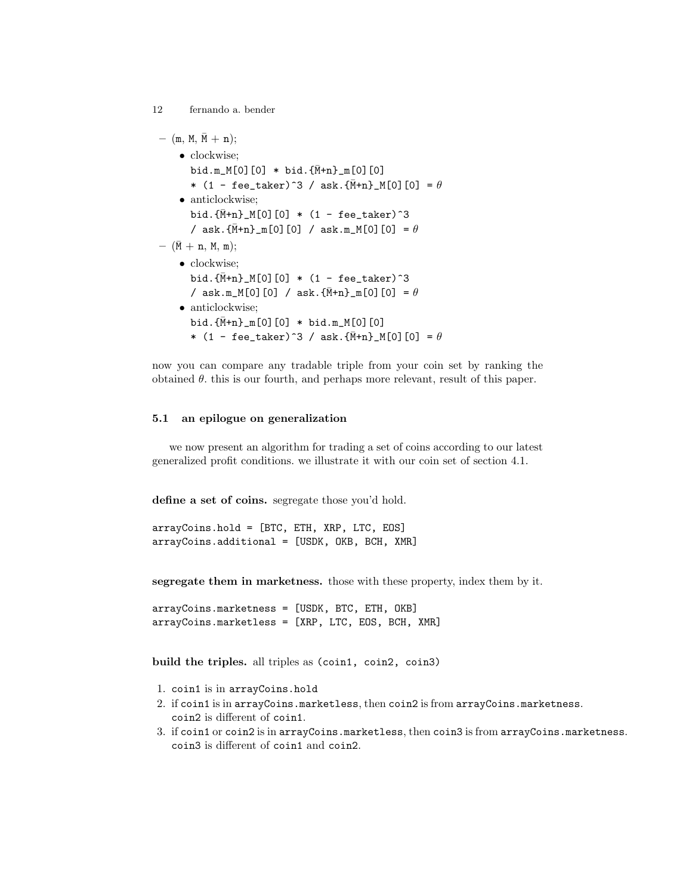```
- (m, M, \bar{M} + n);
    • clockwise;
       bid.m_M[0][0] * bid.{\bar{M}+n}_m[0][0]
       * (1 - \text{feetaker})^3 / \text{ask.}\{\bar{M}+n\}_M[0][0] = \theta• anticlockwise;
       bid.{\bar{M}+n}_{M[0][0] * (1 - fee_taker)^3
       / ask.{\bar{M}+n}_m[0][0] / ask.m_M[0][0] = \theta- (\bar{M} + n, M, m);
    • clockwise:
       bid.{\bar{M}+n}_{M[0][0] * (1 - fee_taker)^3
       / ask.m_M[0][0] / ask.\{\bar{M}+n\}_{m}[0][0] = \theta• anticlockwise:
       bid.{\bar{M}+n}_{m}[0][0] * bid.m.M[0][0]* (1 - fee_taker)^3 / ask.{\bar{M}+n}_M[0][0] = \theta
```
now you can compare any tradable triple from your coin set by ranking the obtained  $\theta$ , this is our fourth, and perhaps more relevant, result of this paper.

### 5.1 an epilogue on generalization

12 fernando a. bender

we now present an algorithm for trading a set of coins according to our latest generalized profit conditions. we illustrate it with our coin set of section 4.1.

define a set of coins. segregate those you'd hold.

arrayCoins.hold = [BTC, ETH, XRP, LTC, EOS] arrayCoins.additional = [USDK, OKB, BCH, XMR]

segregate them in marketness. those with these property, index them by it.

arrayCoins.marketness = [USDK, BTC, ETH, OKB] arrayCoins.marketless = [XRP, LTC, EOS, BCH, XMR]

build the triples. all triples as (coin1, coin2, coin3)

- 1. coin1 is in arrayCoins.hold
- 2. if coin1 is in arrayCoins.marketless, then coin2 is from arrayCoins.marketness. coin2 is different of coin1.
- 3. if coin1 or coin2 is in arrayCoins.marketless, then coin3 is from arrayCoins.marketness. coin3 is different of coin1 and coin2.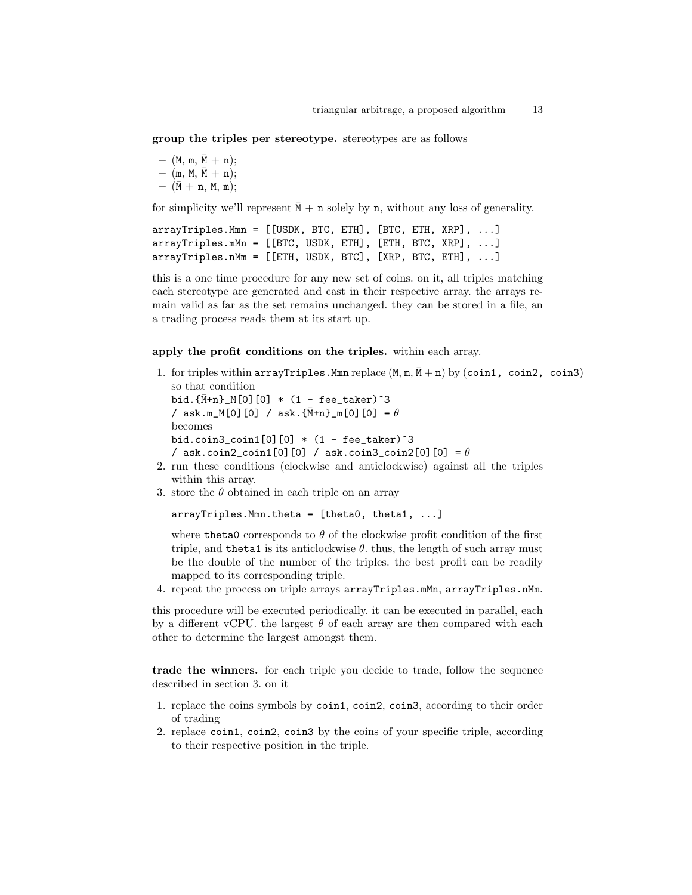group the triples per stereotype. stereotypes are as follows

```
- (M, m, \bar{M} + n);
- (m, M, \bar{M} + n);
- (\bar{M} + n, M, m);
```
for simplicity we'll represent  $\bar{M}$  + n solely by n, without any loss of generality.

```
arrayTriples.Mmn = [[USDK, BTC, ETH], [BTC, ETH, XRP], ...]
arrayTriples.mMn = [[BTC, USDK, ETH], [ETH, BTC, XRP], ...]
arrayTriples.nMm = [[ETH, USDK, BTC], [XRP, BTC, ETH], ...]
```
this is a one time procedure for any new set of coins. on it, all triples matching each stereotype are generated and cast in their respective array. the arrays remain valid as far as the set remains unchanged. they can be stored in a file, an a trading process reads them at its start up.

#### apply the profit conditions on the triples. within each array.

1. for triples within arrayTriples.Mmn replace  $(M, m, \overline{M} + n)$  by (coin1, coin2, coin3) so that condition

bid. $\{\bar{M}+n\}$  M[0][0]  $*$  (1 - fee taker)<sup>2</sup>3 / ask.m\_M[0][0] / ask. ${\bar{M}}+n$ ]  $m[0]$ [0] =  $\theta$ becomes bid.coin3\_coin1 $[0]$  $[0]$  \*  $(1 - \text{fee}\text{-} \text{taken})$ <sup>3</sup> / ask.coin2\_coin1[0][0] / ask.coin3\_coin2[0][0] =  $\theta$ 

- 2. run these conditions (clockwise and anticlockwise) against all the triples within this array.
- 3. store the  $\theta$  obtained in each triple on an array

```
arrayTriples.Mmn.theta = [theta0, theta1, ...]
```
where theta0 corresponds to  $\theta$  of the clockwise profit condition of the first triple, and theta1 is its anticlockwise  $\theta$ . thus, the length of such array must be the double of the number of the triples. the best profit can be readily mapped to its corresponding triple.

4. repeat the process on triple arrays arrayTriples.mMn, arrayTriples.nMm.

this procedure will be executed periodically. it can be executed in parallel, each by a different vCPU. the largest  $\theta$  of each array are then compared with each other to determine the largest amongst them.

trade the winners. for each triple you decide to trade, follow the sequence described in section 3. on it

- 1. replace the coins symbols by coin1, coin2, coin3, according to their order of trading
- 2. replace coin1, coin2, coin3 by the coins of your specific triple, according to their respective position in the triple.